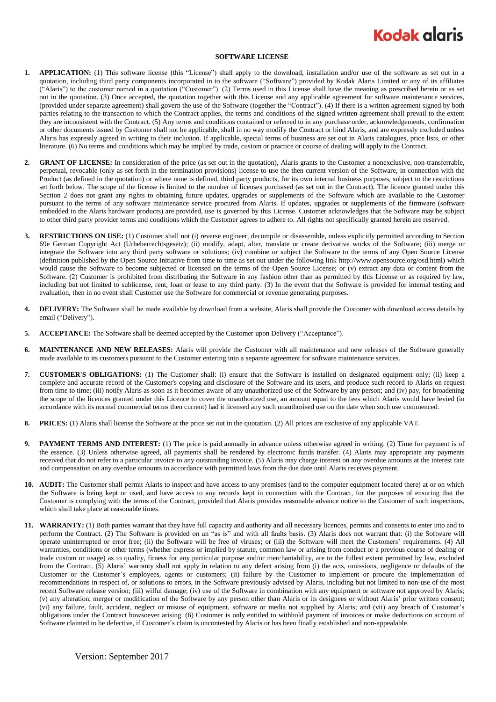## **Kodak glaris**

## **SOFTWARE LICENSE**

- **1. APPLICATION:** (1) This software license (this "License") shall apply to the download, installation and/or use of the software as set out in a quotation, including third party components incorporated in to the software ("Software") provided by Kodak Alaris Limited or any of its affiliates ("Alaris") to the customer named in a quotation ("Customer"). (2) Terms used in this License shall have the meaning as prescribed herein or as set out in the quotation. (3) Once accepted, the quotation together with this License and any applicable agreement for software maintenance services, (provided under separate agreement) shall govern the use of the Software (together the "Contract"). (4) If there is a written agreement signed by both parties relating to the transaction to which the Contract applies, the terms and conditions of the signed written agreement shall prevail to the extent they are inconsistent with the Contract. (5) Any terms and conditions contained or referred to in any purchase order, acknowledgements, confirmation or other documents issued by Customer shall not be applicable, shall in no way modify the Contract or bind Alaris, and are expressly excluded unless Alaris has expressly agreed in writing to their inclusion. If applicable, special terms of business are set out in Alaris catalogues, price lists, or other literature. (6) No terms and conditions which may be implied by trade, custom or practice or course of dealing will apply to the Contract.
- **2. GRANT OF LICENSE:** In consideration of the price (as set out in the quotation), Alaris grants to the Customer a nonexclusive, non-transferrable, perpetual, revocable (only as set forth in the termination provisions) license to use the then current version of the Software, in connection with the Product (as defined in the quotation) or where none is defined, third party products, for its own internal business purposes, subject to the restrictions set forth below. The scope of the license is limited to the number of licenses purchased (as set out in the Contract). The licence granted under this Section 2 does not grant any rights to obtaining future updates, upgrades or supplements of the Software which are available to the Customer pursuant to the terms of any software maintenance service procured from Alaris. If updates, upgrades or supplements of the firmware (software embedded in the Alaris hardware products) are provided, use is governed by this License. Customer acknowledges that the Software may be subject to other third party provider terms and conditions which the Customer agrees to adhere to. All rights not specifically granted herein are reserved.
- **3. RESTRICTIONS ON USE:** (1) Customer shall not (i) reverse engineer, decompile or disassemble, unless explicitly permitted according to Section 69e German Copyright Act (Urheberrechtsgesetz); (ii) modify, adapt, alter, translate or create derivative works of the Software; (iii) merge or integrate the Software into any third party software or solutions; (iv) combine or subject the Software to the terms of any Open Source License (definition published by the Open Source Initiative from time to time as set out under the following link http://www.opensource.org/osd.html) which would cause the Software to become subjected or licensed on the terms of the Open Source License; or (v) extract any data or content from the Software. (2) Customer is prohibited from distributing the Software in any fashion other than as permitted by this License or as required by law, including but not limited to sublicense, rent, loan or lease to any third party. (3) In the event that the Software is provided for internal testing and evaluation, then in no event shall Customer use the Software for commercial or revenue generating purposes.
- **4. DELIVERY:** The Software shall be made available by download from a website, Alaris shall provide the Customer with download access details by email ("Delivery").
- **5. ACCEPTANCE:** The Software shall be deemed accepted by the Customer upon Delivery ("Acceptance").
- **6. MAINTENANCE AND NEW RELEASES:** Alaris will provide the Customer with all maintenance and new releases of the Software generally made available to its customers pursuant to the Customer entering into a separate agreement for software maintenance services.
- **7. CUSTOMER'S OBLIGATIONS:** (1) The Customer shall: (i) ensure that the Software is installed on designated equipment only; (ii) keep a complete and accurate record of the Customer's copying and disclosure of the Software and its users, and produce such record to Alaris on request from time to time; (iii) notify Alaris as soon as it becomes aware of any unauthorized use of the Software by any person; and (iv) pay, for broadening the scope of the licences granted under this Licence to cover the unauthorized use, an amount equal to the fees which Alaris would have levied (in accordance with its normal commercial terms then current) had it licensed any such unauthorised use on the date when such use commenced.
- **8. PRICES:** (1) Alaris shall license the Software at the price set out in the quotation. (2) All prices are exclusive of any applicable VAT.
- **9. PAYMENT TERMS AND INTEREST:** (1) The price is paid annually in advance unless otherwise agreed in writing. (2) Time for payment is of the essence. (3) Unless otherwise agreed, all payments shall be rendered by electronic funds transfer. (4) Alaris may appropriate any payments received that do not refer to a particular invoice to any outstanding invoice. (5) Alaris may charge interest on any overdue amounts at the interest rate and compensation on any overdue amounts in accordance with permitted laws from the due date until Alaris receives payment.
- **10. AUDIT:** The Customer shall permit Alaris to inspect and have access to any premises (and to the computer equipment located there) at or on which the Software is being kept or used, and have access to any records kept in connection with the Contract, for the purposes of ensuring that the Customer is complying with the terms of the Contract, provided that Alaris provides reasonable advance notice to the Customer of such inspections, which shall take place at reasonable times.
- **11. WARRANTY:** (1) Both parties warrant that they have full capacity and authority and all necessary licences, permits and consents to enter into and to perform the Contract. (2) The Software is provided on an "as is" and with all faults basis. (3) Alaris does not warrant that: (i) the Software will operate uninterrupted or error free; (ii) the Software will be free of viruses; or (iii) the Software will meet the Customers' requirements. (4) All warranties, conditions or other terms (whether express or implied by statute, common law or arising from conduct or a previous course of dealing or trade custom or usage) as to quality, fitness for any particular purpose and/or merchantability, are to the fullest extent permitted by law, excluded from the Contract. (5) Alaris' warranty shall not apply in relation to any defect arising from (i) the acts, omissions, negligence or defaults of the Customer or the Customer's employees, agents or customers; (ii) failure by the Customer to implement or procure the implementation of recommendations in respect of, or solutions to errors, in the Software previously advised by Alaris, including but not limited to non-use of the most recent Software release version; (iii) wilful damage; (iv) use of the Software in combination with any equipment or software not approved by Alaris; (v) any alteration, merger or modification of the Software by any person other than Alaris or its designees or without Alaris' prior written consent; (vi) any failure, fault, accident, neglect or misuse of equipment, software or media not supplied by Alaris; and (vii) any breach of Customer's obligations under the Contract howsoever arising. (6) Customer is only entitled to withhold payment of invoices or make deductions on account of Software claimed to be defective, if Customer´s claim is uncontested by Alaris or has been finally established and non-appealable.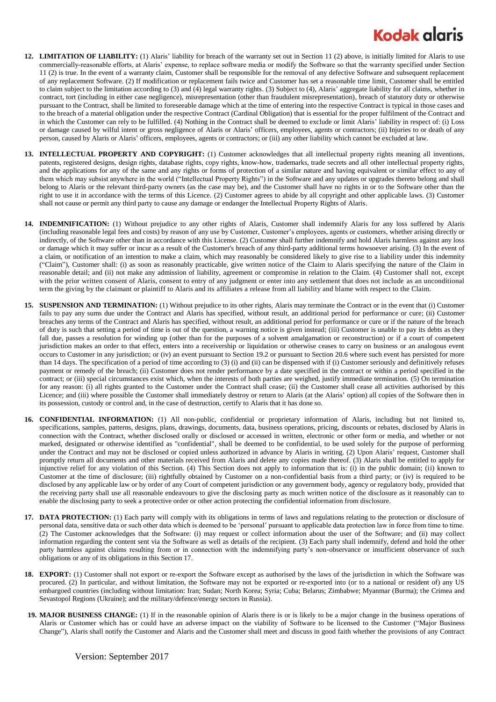## **Kodak alaris**

- **12. LIMITATION OF LIABILITY:** (1) Alaris' liability for breach of the warranty set out in Section 11 (2) above, is initially limited for Alaris to use commercially-reasonable efforts, at Alaris' expense, to replace software media or modify the Software so that the warranty specified under Section 11 (2) is true. In the event of a warranty claim, Customer shall be responsible for the removal of any defective Software and subsequent replacement of any replacement Software. (2) If modification or replacement fails twice and Customer has set a reasonable time limit, Customer shall be entitled to claim subject to the limitation according to (3) and (4) legal warranty rights. (3) Subject to (4), Alaris' aggregate liability for all claims, whether in contract, tort (including in either case negligence), misrepresentation (other than fraudulent misrepresentation), breach of statutory duty or otherwise pursuant to the Contract, shall be limited to foreseeable damage which at the time of entering into the respective Contract is typical in those cases and to the breach of a material obligation under the respective Contract (Cardinal Obligation) that is essential for the proper fulfilment of the Contract and in which the Customer can rely to be fulfilled. (4) Nothing in the Contract shall be deemed to exclude or limit Alaris' liability in respect of: (i) Loss or damage caused by wilful intent or gross negligence of Alaris or Alaris' officers, employees, agents or contractors; (ii) Injuries to or death of any person, caused by Alaris or Alaris' officers, employees, agents or contractors; or (iii) any other liability which cannot be excluded at law.
- **13. INTELLECTUAL PROPERTY AND COPYRIGHT:** (1) Customer acknowledges that all intellectual property rights meaning all inventions, patents, registered designs, design rights, database rights, copy rights, know-how, trademarks, trade secrets and all other intellectual property rights, and the applications for any of the same and any rights or forms of protection of a similar nature and having equivalent or similar effect to any of them which may subsist anywhere in the world ("Intellectual Property Rights") in the Software and any updates or upgrades thereto belong and shall belong to Alaris or the relevant third-party owners (as the case may be), and the Customer shall have no rights in or to the Software other than the right to use it in accordance with the terms of this Licence. (2) Customer agrees to abide by all copyright and other applicable laws. (3) Customer shall not cause or permit any third party to cause any damage or endanger the Intellectual Property Rights of Alaris.
- **14. INDEMNIFICATION:** (1) Without prejudice to any other rights of Alaris, Customer shall indemnify Alaris for any loss suffered by Alaris (including reasonable legal fees and costs) by reason of any use by Customer, Customer's employees, agents or customers, whether arising directly or indirectly, of the Software other than in accordance with this License. (2) Customer shall further indemnify and hold Alaris harmless against any loss or damage which it may suffer or incur as a result of the Customer's breach of any third-party additional terms howsoever arising. (3) In the event of a claim, or notification of an intention to make a claim, which may reasonably be considered likely to give rise to a liability under this indemnity ("Claim"), Customer shall: (i) as soon as reasonably practicable, give written notice of the Claim to Alaris specifying the nature of the Claim in reasonable detail; and (ii) not make any admission of liability, agreement or compromise in relation to the Claim. (4) Customer shall not, except with the prior written consent of Alaris, consent to entry of any judgment or enter into any settlement that does not include as an unconditional term the giving by the claimant or plaintiff to Alaris and its affiliates a release from all liability and blame with respect to the Claim.
- **15. SUSPENSION AND TERMINATION:** (1) Without prejudice to its other rights, Alaris may terminate the Contract or in the event that (i) Customer fails to pay any sums due under the Contract and Alaris has specified, without result, an additional period for performance or cure; (ii) Customer breaches any terms of the Contract and Alaris has specified, without result, an additional period for performance or cure or if the nature of the breach of duty is such that setting a period of time is out of the question, a warning notice is given instead; (iii) Customer is unable to pay its debts as they fall due, passes a resolution for winding up (other than for the purposes of a solvent amalgamation or reconstruction) or if a court of competent jurisdiction makes an order to that effect, enters into a receivership or liquidation or otherwise ceases to carry on business or an analogous event occurs to Customer in any jurisdiction; or (iv) an event pursuant to Section 19.2 or pursuant to Section 20.6 where such event has persisted for more than 14 days. The specification of a period of time according to (3) (i) and (ii) can be dispensed with if (i) Customer seriously and definitively refuses payment or remedy of the breach; (ii) Customer does not render performance by a date specified in the contract or within a period specified in the contract; or (iii) special circumstances exist which, when the interests of both parties are weighed, justify immediate termination. (5) On termination for any reason: (i) all rights granted to the Customer under the Contract shall cease; (ii) the Customer shall cease all activities authorised by this Licence; and (iii) where possible the Customer shall immediately destroy or return to Alaris (at the Alaris' option) all copies of the Software then in its possession, custody or control and, in the case of destruction, certify to Alaris that it has done so.
- **16. CONFIDENTIAL INFORMATION:** (1) All non-public, confidential or proprietary information of Alaris, including but not limited to, specifications, samples, patterns, designs, plans, drawings, documents, data, business operations, pricing, discounts or rebates, disclosed by Alaris in connection with the Contract, whether disclosed orally or disclosed or accessed in written, electronic or other form or media, and whether or not marked, designated or otherwise identified as "confidential", shall be deemed to be confidential, to be used solely for the purpose of performing under the Contract and may not be disclosed or copied unless authorized in advance by Alaris in writing. (2) Upon Alaris' request, Customer shall promptly return all documents and other materials received from Alaris and delete any copies made thereof. (3) Alaris shall be entitled to apply for injunctive relief for any violation of this Section. (4) This Section does not apply to information that is: (i) in the public domain; (ii) known to Customer at the time of disclosure; (iii) rightfully obtained by Customer on a non-confidential basis from a third party; or (iv) is required to be disclosed by any applicable law or by order of any Court of competent jurisdiction or any government body, agency or regulatory body, provided that the receiving party shall use all reasonable endeavours to give the disclosing party as much written notice of the disclosure as it reasonably can to enable the disclosing party to seek a protective order or other action protecting the confidential information from disclosure.
- **17. DATA PROTECTION:** (1) Each party will comply with its obligations in terms of laws and regulations relating to the protection or disclosure of personal data, sensitive data or such other data which is deemed to be 'personal' pursuant to applicable data protection law in force from time to time. (2) The Customer acknowledges that the Software: (i) may request or collect information about the user of the Software; and (ii) may collect information regarding the content sent via the Software as well as details of the recipient. (3) Each party shall indemnify, defend and hold the other party harmless against claims resulting from or in connection with the indemnifying party's non-observance or insufficient observance of such obligations or any of its obligations in this Section 17.
- **18. EXPORT:** (1) Customer shall not export or re-export the Software except as authorised by the laws of the jurisdiction in which the Software was procured. (2) In particular, and without limitation, the Software may not be exported or re-exported into (or to a national or resident of) any US embargoed countries (including without limitation: Iran; Sudan; North Korea; Syria; Cuba; Belarus; Zimbabwe; Myanmar (Burma); the Crimea and Sevastopol Regions (Ukraine); and the military/defence/energy sectors in Russia).
- **19. MAJOR BUSINESS CHANGE:** (1) If in the reasonable opinion of Alaris there is or is likely to be a major change in the business operations of Alaris or Customer which has or could have an adverse impact on the viability of Software to be licensed to the Customer ("Major Business Change"), Alaris shall notify the Customer and Alaris and the Customer shall meet and discuss in good faith whether the provisions of any Contract